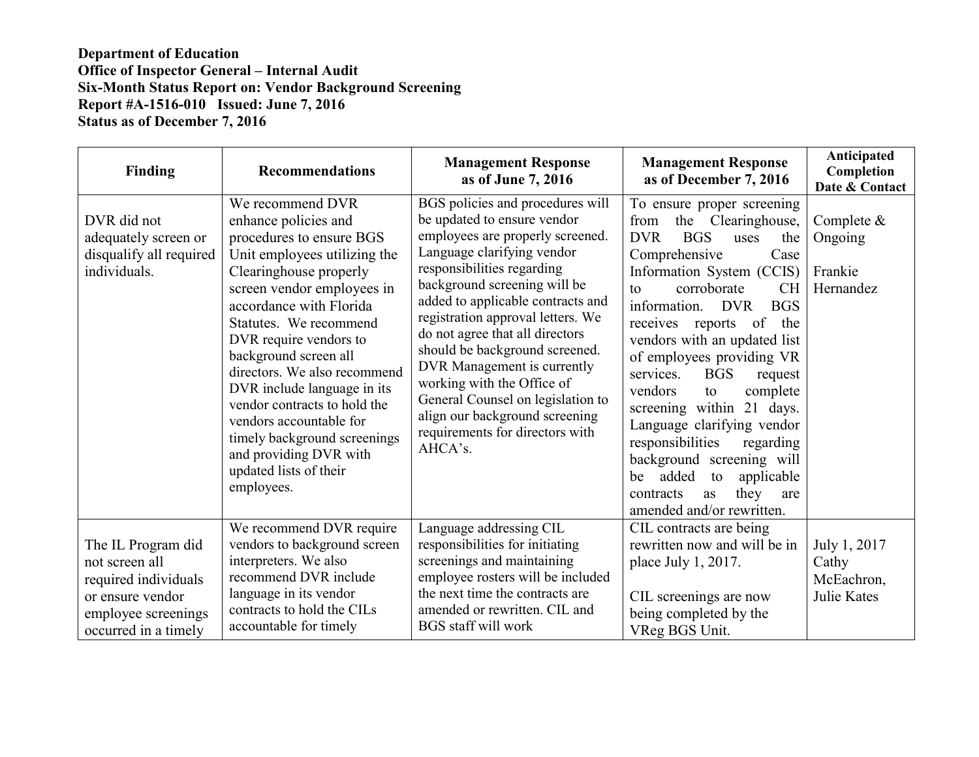## **Department of Education Office of Inspector General – Internal Audit Six-Month Status Report on: Vendor Background Screening Report #A-1516-010 Issued: June 7, 2016 Status as of December 7, 2016**

| <b>Finding</b>                                                                                                                  | <b>Recommendations</b>                                                                                                                                                                                                                                                                                                                                                                                                                                                                           | <b>Management Response</b><br>as of June 7, 2016                                                                                                                                                                                                                                                                                                                                                                                                                                                                                 | <b>Management Response</b><br>as of December 7, 2016                                                                                                                                                                                                                                                                                                                                                                                                                                                                                                                                                                   | Anticipated<br>Completion<br>Date & Contact               |
|---------------------------------------------------------------------------------------------------------------------------------|--------------------------------------------------------------------------------------------------------------------------------------------------------------------------------------------------------------------------------------------------------------------------------------------------------------------------------------------------------------------------------------------------------------------------------------------------------------------------------------------------|----------------------------------------------------------------------------------------------------------------------------------------------------------------------------------------------------------------------------------------------------------------------------------------------------------------------------------------------------------------------------------------------------------------------------------------------------------------------------------------------------------------------------------|------------------------------------------------------------------------------------------------------------------------------------------------------------------------------------------------------------------------------------------------------------------------------------------------------------------------------------------------------------------------------------------------------------------------------------------------------------------------------------------------------------------------------------------------------------------------------------------------------------------------|-----------------------------------------------------------|
| DVR did not<br>adequately screen or<br>disqualify all required<br>individuals.                                                  | We recommend DVR<br>enhance policies and<br>procedures to ensure BGS<br>Unit employees utilizing the<br>Clearinghouse properly<br>screen vendor employees in<br>accordance with Florida<br>Statutes. We recommend<br>DVR require vendors to<br>background screen all<br>directors. We also recommend<br>DVR include language in its<br>vendor contracts to hold the<br>vendors accountable for<br>timely background screenings<br>and providing DVR with<br>updated lists of their<br>employees. | BGS policies and procedures will<br>be updated to ensure vendor<br>employees are properly screened.<br>Language clarifying vendor<br>responsibilities regarding<br>background screening will be<br>added to applicable contracts and<br>registration approval letters. We<br>do not agree that all directors<br>should be background screened.<br>DVR Management is currently<br>working with the Office of<br>General Counsel on legislation to<br>align our background screening<br>requirements for directors with<br>AHCA's. | To ensure proper screening<br>the Clearinghouse,<br>from<br><b>DVR</b><br><b>BGS</b><br>the<br>uses<br>Comprehensive<br>Case<br>Information System (CCIS)<br>corroborate<br><b>CH</b><br>to<br><b>BGS</b><br>information. DVR<br>receives reports<br>of<br>the<br>vendors with an updated list<br>of employees providing VR<br>services.<br><b>BGS</b><br>request<br>vendors<br>complete<br>to<br>screening within 21 days.<br>Language clarifying vendor<br>responsibilities<br>regarding<br>background screening will<br>added to<br>applicable<br>be<br>they<br>contracts<br>as<br>are<br>amended and/or rewritten. | Complete &<br>Ongoing<br>Frankie<br>Hernandez             |
| The IL Program did<br>not screen all<br>required individuals<br>or ensure vendor<br>employee screenings<br>occurred in a timely | We recommend DVR require<br>vendors to background screen<br>interpreters. We also<br>recommend DVR include<br>language in its vendor<br>contracts to hold the CILs<br>accountable for timely                                                                                                                                                                                                                                                                                                     | Language addressing CIL<br>responsibilities for initiating<br>screenings and maintaining<br>employee rosters will be included<br>the next time the contracts are<br>amended or rewritten. CIL and<br><b>BGS</b> staff will work                                                                                                                                                                                                                                                                                                  | CIL contracts are being<br>rewritten now and will be in<br>place July 1, 2017.<br>CIL screenings are now<br>being completed by the<br>VReg BGS Unit.                                                                                                                                                                                                                                                                                                                                                                                                                                                                   | July 1, 2017<br>Cathy<br>McEachron,<br><b>Julie Kates</b> |